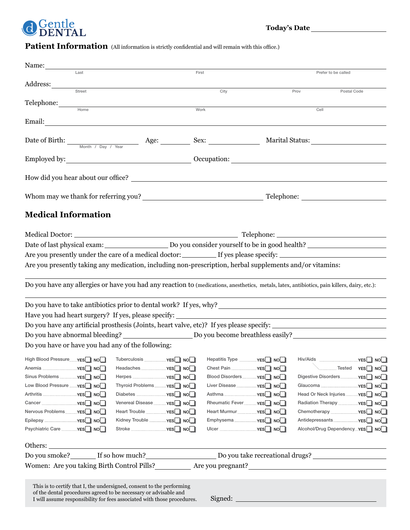

Patient Information (All information is strictly confidential and will remain with this office.)

| Name:                                                                                                                                                                                                                                                                                                                                                                                                                                                                                         |                                      |                                  |           |                                                                                                                      |                                     |  |
|-----------------------------------------------------------------------------------------------------------------------------------------------------------------------------------------------------------------------------------------------------------------------------------------------------------------------------------------------------------------------------------------------------------------------------------------------------------------------------------------------|--------------------------------------|----------------------------------|-----------|----------------------------------------------------------------------------------------------------------------------|-------------------------------------|--|
| Last                                                                                                                                                                                                                                                                                                                                                                                                                                                                                          |                                      | First                            |           | Prefer to be called                                                                                                  |                                     |  |
| Address:                                                                                                                                                                                                                                                                                                                                                                                                                                                                                      |                                      |                                  |           |                                                                                                                      |                                     |  |
| Street                                                                                                                                                                                                                                                                                                                                                                                                                                                                                        |                                      | City                             | Prov      | Postal Code                                                                                                          |                                     |  |
| Telephone:<br>Home                                                                                                                                                                                                                                                                                                                                                                                                                                                                            | Work                                 |                                  |           | Cell                                                                                                                 |                                     |  |
|                                                                                                                                                                                                                                                                                                                                                                                                                                                                                               |                                      |                                  |           |                                                                                                                      |                                     |  |
| Email:<br><u> 1989 - Johann Stein, marwolaethau a bhann an t-Amhain an t-Amhain an t-Amhain an t-Amhain an t-Amhain an t-A</u>                                                                                                                                                                                                                                                                                                                                                                |                                      |                                  |           |                                                                                                                      |                                     |  |
|                                                                                                                                                                                                                                                                                                                                                                                                                                                                                               |                                      |                                  |           |                                                                                                                      |                                     |  |
| Date of Birth: $\frac{1}{\frac{M\text{onth } / \text{Day } / \text{Year}}{M\text{print } / \text{Day } / \text{Year}}}$ Age: $\frac{\text{Age:}}{M\text{print } / M\text{sqrt } M\text{sqrt } M\text{sqrt } M\text{sqrt } M\text{sqrt } M\text{sqrt } M\text{sqrt } M\text{sqrt } M\text{sqrt } M\text{sqrt } M\text{sqrt } M\text{sqrt } M\text{sqrt } M\text{sqrt } M\text{sqrt } M\text{sqrt } M\text{sqrt } M\text{sqrt } M\text{sqrt } M\text{sqrt } M\text{sqrt } M\text{sqrt } M\text$ |                                      |                                  |           |                                                                                                                      |                                     |  |
|                                                                                                                                                                                                                                                                                                                                                                                                                                                                                               |                                      |                                  |           |                                                                                                                      |                                     |  |
|                                                                                                                                                                                                                                                                                                                                                                                                                                                                                               |                                      |                                  |           |                                                                                                                      |                                     |  |
|                                                                                                                                                                                                                                                                                                                                                                                                                                                                                               |                                      |                                  |           |                                                                                                                      |                                     |  |
|                                                                                                                                                                                                                                                                                                                                                                                                                                                                                               |                                      |                                  |           |                                                                                                                      |                                     |  |
|                                                                                                                                                                                                                                                                                                                                                                                                                                                                                               |                                      |                                  |           |                                                                                                                      |                                     |  |
|                                                                                                                                                                                                                                                                                                                                                                                                                                                                                               |                                      |                                  |           |                                                                                                                      |                                     |  |
| <b>Medical Information</b>                                                                                                                                                                                                                                                                                                                                                                                                                                                                    |                                      |                                  |           |                                                                                                                      |                                     |  |
|                                                                                                                                                                                                                                                                                                                                                                                                                                                                                               |                                      |                                  |           |                                                                                                                      |                                     |  |
|                                                                                                                                                                                                                                                                                                                                                                                                                                                                                               |                                      |                                  |           |                                                                                                                      |                                     |  |
|                                                                                                                                                                                                                                                                                                                                                                                                                                                                                               |                                      |                                  |           |                                                                                                                      |                                     |  |
| Are you presently under the care of a medical doctor: _____________ If yes please specify: ___________________                                                                                                                                                                                                                                                                                                                                                                                |                                      |                                  |           |                                                                                                                      |                                     |  |
| Are you presently taking any medication, including non-prescription, herbal supplements and/or vitamins:                                                                                                                                                                                                                                                                                                                                                                                      |                                      |                                  |           |                                                                                                                      |                                     |  |
|                                                                                                                                                                                                                                                                                                                                                                                                                                                                                               |                                      |                                  |           |                                                                                                                      |                                     |  |
| Do you have any allergies or have you had any reaction to (medications, anesthetics, metals, latex, antibiotics, pain killers, dairy, etc.):                                                                                                                                                                                                                                                                                                                                                  |                                      |                                  |           |                                                                                                                      |                                     |  |
|                                                                                                                                                                                                                                                                                                                                                                                                                                                                                               |                                      |                                  |           |                                                                                                                      |                                     |  |
|                                                                                                                                                                                                                                                                                                                                                                                                                                                                                               |                                      |                                  |           |                                                                                                                      |                                     |  |
| Have you had heart surgery? If yes, please specify:                                                                                                                                                                                                                                                                                                                                                                                                                                           |                                      |                                  |           | <u> 1980 - Jan Samuel Barbara, martin di sebagai personal di sebagai personal di sebagai personal di sebagai per</u> |                                     |  |
|                                                                                                                                                                                                                                                                                                                                                                                                                                                                                               |                                      |                                  |           |                                                                                                                      |                                     |  |
|                                                                                                                                                                                                                                                                                                                                                                                                                                                                                               |                                      |                                  |           |                                                                                                                      |                                     |  |
| Do you have or have you had any of the following:                                                                                                                                                                                                                                                                                                                                                                                                                                             |                                      |                                  |           |                                                                                                                      |                                     |  |
|                                                                                                                                                                                                                                                                                                                                                                                                                                                                                               |                                      |                                  |           |                                                                                                                      |                                     |  |
| High Blood Pressure <sub>19</sub> YES <sup>1</sup> No <sub>c</sub> Tuberculosis Alternation Versen Noch Hepatitis Type Alternation Pressure <sub>19</sub> Noch Hiv/Aids                                                                                                                                                                                                                                                                                                                       |                                      |                                  |           |                                                                                                                      | $\rule{1em}{0.15mm}$ No $\square$   |  |
|                                                                                                                                                                                                                                                                                                                                                                                                                                                                                               |                                      | Chest Pain                       | –YES∐∣NO∐ |                                                                                                                      | <sub>---</sub> Tested <b>γES</b> NO |  |
|                                                                                                                                                                                                                                                                                                                                                                                                                                                                                               |                                      |                                  |           |                                                                                                                      |                                     |  |
| Low Blood Pressure _____ YES NO                                                                                                                                                                                                                                                                                                                                                                                                                                                               |                                      |                                  |           |                                                                                                                      |                                     |  |
|                                                                                                                                                                                                                                                                                                                                                                                                                                                                                               |                                      |                                  |           |                                                                                                                      |                                     |  |
|                                                                                                                                                                                                                                                                                                                                                                                                                                                                                               | Venereal Disease ________ YES NOM    | Rheumatic Fever _______ YES NO   |           | Radiation Therapy ___________ YES NO                                                                                 |                                     |  |
|                                                                                                                                                                                                                                                                                                                                                                                                                                                                                               | Heart Trouble _____________ YES   NO | Heart Murmur <sub></sub> YES NOM |           |                                                                                                                      |                                     |  |
|                                                                                                                                                                                                                                                                                                                                                                                                                                                                                               | Kidney Trouble ____________ YES   NO |                                  |           |                                                                                                                      |                                     |  |
|                                                                                                                                                                                                                                                                                                                                                                                                                                                                                               |                                      |                                  |           | Alcohol/Drug DependencyYES NO                                                                                        |                                     |  |
| Others:                                                                                                                                                                                                                                                                                                                                                                                                                                                                                       |                                      |                                  |           |                                                                                                                      |                                     |  |
| Do you smoke? If so how much? Interval Do you take recreational drugs? Interval Do you take recreational drugs? Interval Do you take recreational drugs? Interval Do you take recreational drugs? Interval Do you take recreat                                                                                                                                                                                                                                                                |                                      |                                  |           |                                                                                                                      |                                     |  |
|                                                                                                                                                                                                                                                                                                                                                                                                                                                                                               |                                      |                                  |           |                                                                                                                      |                                     |  |
|                                                                                                                                                                                                                                                                                                                                                                                                                                                                                               |                                      |                                  |           |                                                                                                                      |                                     |  |
|                                                                                                                                                                                                                                                                                                                                                                                                                                                                                               |                                      |                                  |           |                                                                                                                      |                                     |  |
| This is to certify that I, the undersigned, consent to the performing<br>of the dental procedures agreed to be necessary or advisable and                                                                                                                                                                                                                                                                                                                                                     |                                      |                                  |           |                                                                                                                      |                                     |  |
| I will assume responsibility for fees associated with those procedures.                                                                                                                                                                                                                                                                                                                                                                                                                       |                                      |                                  |           |                                                                                                                      |                                     |  |
|                                                                                                                                                                                                                                                                                                                                                                                                                                                                                               |                                      |                                  |           |                                                                                                                      |                                     |  |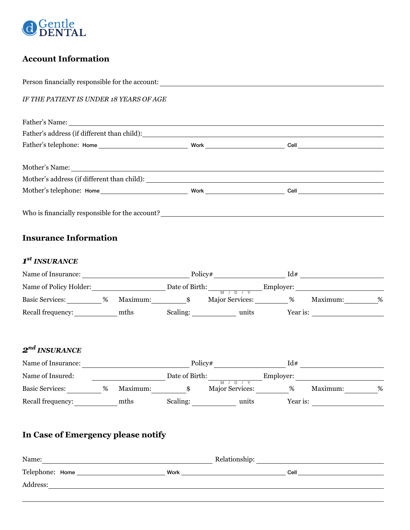

# **Account Information**

*IF THE PATIENT IS UNDER 18 YEARS OF AGE* Father's Name: Father's address (if different than child): Father's telephone: Home Work Cell Father's telephone: Home Work Cell Mother's Name: Mother's address (if different than child): Mother's address (if different than child): Mother's telephone: Home Work Work Cell Who is financially responsible for the account?  $\textbf{1}^{\textbf{st}}$  INSURANCE *1st INSURANCE* Name of Insurance: Policy# Id# Name of Insurance: Policy# Id# *1st INSURANCE* Name of Policy Holder: Date of Birth: Employer: M / D / Y Basic Services: \_\_\_\_\_\_\_\_\_\_\_% Maximum: \_\_\_\_\_\_\_\_\_\_\_\$ Major Services: \_\_\_\_\_\_\_\_\_% Maximum: \_\_\_\_\_\_\_\_\_% Basic Services: % Maximum: \$ Major Services: % Maximum: % Name of Policy Holder: Date of Birth: Employer: M / D / Y Recall frequency: mths Scaling: units Year is: *2nd INSURANCE* Name of Insurance: Policy# Id# **Name of Insured:**  $\qquad \qquad$  Date of Birth: Employer: Name of Insured: Date of Birth: Employer: Recall frequency: The meths Scaling: The units Year is: Basic Services: \_\_\_\_\_\_\_\_\_\_\_% Maximum: \_\_\_\_\_\_\_\_\_\_\_\$ Major Services: \_\_\_\_\_\_\_\_\_% Maximum: \_\_\_\_\_\_\_\_% % Person financially responsible for the account: *IF THE PATIENT IS UNDER 18 YEARS OF AGE* Father's Name: Father's address (if different than child): Mother's Name: Mother's telephone: Home Work Cell  $\frac{1}{\sqrt{1-\frac{1}{\sqrt{1-\frac{1}{\sqrt{1-\frac{1}{\sqrt{1-\frac{1}{\sqrt{1-\frac{1}{\sqrt{1-\frac{1}{\sqrt{1-\frac{1}{\sqrt{1-\frac{1}{\sqrt{1-\frac{1}{\sqrt{1-\frac{1}{\sqrt{1-\frac{1}{\sqrt{1-\frac{1}{\sqrt{1-\frac{1}{\sqrt{1-\frac{1}{\sqrt{1-\frac{1}{\sqrt{1-\frac{1}{\sqrt{1-\frac{1}{\sqrt{1-\frac{1}{\sqrt{1-\frac{1}{\sqrt{1-\frac{1}{\sqrt{1-\frac{1}{\sqrt{1-\frac{1}{\sqrt{1-\frac{1}{\sqrt{1-\frac{1$ Mother's telephone: Home Work Cell Father's address (if different than child): **Insurance Information** *2nd INSURANCE* M / D / Y

## **In Case of Emergency please notify**

| Name:            |      | Relationship: |      |
|------------------|------|---------------|------|
| Telephone: Home_ | Work |               | Cell |
| Address:         |      |               |      |
|                  |      |               |      |